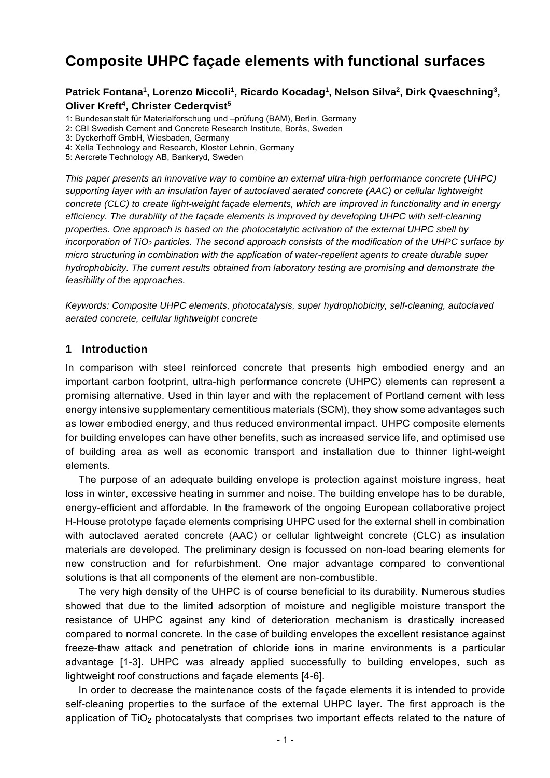# **Composite UHPC façade elements with functional surfaces**

#### Patrick Fontana<sup>1</sup>, Lorenzo Miccoli<sup>1</sup>, Ricardo Kocadag<sup>1</sup>, Nelson Silva<sup>2</sup>, Dirk Qvaeschning<sup>3</sup>, **Oliver Kreft<sup>4</sup>, Christer Cederqvist<sup>5</sup>**

- 1: Bundesanstalt für Materialforschung und –prüfung (BAM), Berlin, Germany
- 2: CBI Swedish Cement and Concrete Research Institute, Borås, Sweden
- 3: Dyckerhoff GmbH, Wiesbaden, Germany
- 4: Xella Technology and Research, Kloster Lehnin, Germany
- 5: Aercrete Technology AB, Bankeryd, Sweden

*This paper presents an innovative way to combine an external ultra-high performance concrete (UHPC) supporting layer with an insulation layer of autoclaved aerated concrete (AAC) or cellular lightweight concrete (CLC) to create light-weight façade elements, which are improved in functionality and in energy efficiency. The durability of the façade elements is improved by developing UHPC with self-cleaning properties. One approach is based on the photocatalytic activation of the external UHPC shell by incorporation of TiO2 particles. The second approach consists of the modification of the UHPC surface by micro structuring in combination with the application of water-repellent agents to create durable super hydrophobicity. The current results obtained from laboratory testing are promising and demonstrate the feasibility of the approaches.* 

*Keywords: Composite UHPC elements, photocatalysis, super hydrophobicity, self-cleaning, autoclaved aerated concrete, cellular lightweight concrete* 

#### **1 Introduction**

In comparison with steel reinforced concrete that presents high embodied energy and an important carbon footprint, ultra-high performance concrete (UHPC) elements can represent a promising alternative. Used in thin layer and with the replacement of Portland cement with less energy intensive supplementary cementitious materials (SCM), they show some advantages such as lower embodied energy, and thus reduced environmental impact. UHPC composite elements for building envelopes can have other benefits, such as increased service life, and optimised use of building area as well as economic transport and installation due to thinner light-weight elements.

The purpose of an adequate building envelope is protection against moisture ingress, heat loss in winter, excessive heating in summer and noise. The building envelope has to be durable, energy-efficient and affordable. In the framework of the ongoing European collaborative project H-House prototype façade elements comprising UHPC used for the external shell in combination with autoclaved aerated concrete (AAC) or cellular lightweight concrete (CLC) as insulation materials are developed. The preliminary design is focussed on non-load bearing elements for new construction and for refurbishment. One major advantage compared to conventional solutions is that all components of the element are non-combustible.

The very high density of the UHPC is of course beneficial to its durability. Numerous studies showed that due to the limited adsorption of moisture and negligible moisture transport the resistance of UHPC against any kind of deterioration mechanism is drastically increased compared to normal concrete. In the case of building envelopes the excellent resistance against freeze-thaw attack and penetration of chloride ions in marine environments is a particular advantage [1-3]. UHPC was already applied successfully to building envelopes, such as lightweight roof constructions and façade elements [4-6].

In order to decrease the maintenance costs of the façade elements it is intended to provide self-cleaning properties to the surface of the external UHPC layer. The first approach is the application of  $TiO<sub>2</sub>$  photocatalysts that comprises two important effects related to the nature of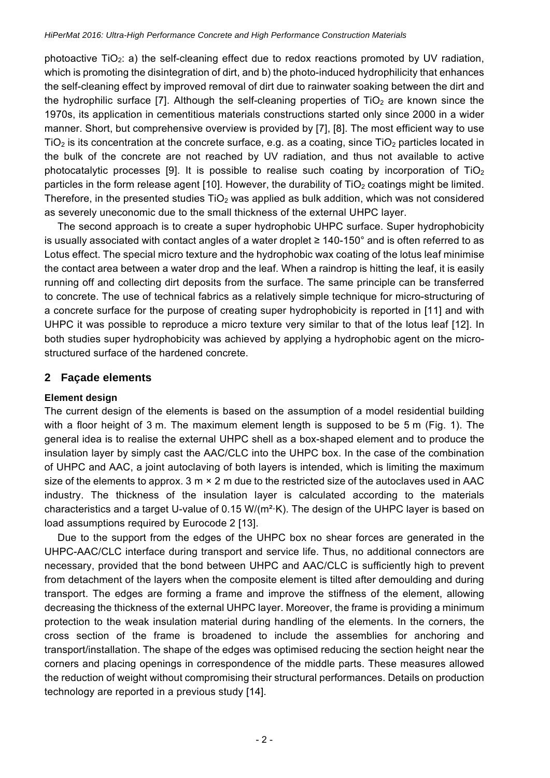photoactive TiO2: a) the self-cleaning effect due to redox reactions promoted by UV radiation, which is promoting the disintegration of dirt, and b) the photo-induced hydrophilicity that enhances the self-cleaning effect by improved removal of dirt due to rainwater soaking between the dirt and the hydrophilic surface [7]. Although the self-cleaning properties of  $TiO<sub>2</sub>$  are known since the 1970s, its application in cementitious materials constructions started only since 2000 in a wider manner. Short, but comprehensive overview is provided by [7], [8]. The most efficient way to use  $TiO<sub>2</sub>$  is its concentration at the concrete surface, e.g. as a coating, since  $TiO<sub>2</sub>$  particles located in the bulk of the concrete are not reached by UV radiation, and thus not available to active photocatalytic processes [9]. It is possible to realise such coating by incorporation of  $TiO<sub>2</sub>$ particles in the form release agent [10]. However, the durability of  $TiO<sub>2</sub>$  coatings might be limited. Therefore, in the presented studies  $TiO<sub>2</sub>$  was applied as bulk addition, which was not considered as severely uneconomic due to the small thickness of the external UHPC layer.

The second approach is to create a super hydrophobic UHPC surface. Super hydrophobicity is usually associated with contact angles of a water droplet ≥ 140-150° and is often referred to as Lotus effect. The special micro texture and the hydrophobic wax coating of the lotus leaf minimise the contact area between a water drop and the leaf. When a raindrop is hitting the leaf, it is easily running off and collecting dirt deposits from the surface. The same principle can be transferred to concrete. The use of technical fabrics as a relatively simple technique for micro-structuring of a concrete surface for the purpose of creating super hydrophobicity is reported in [11] and with UHPC it was possible to reproduce a micro texture very similar to that of the lotus leaf [12]. In both studies super hydrophobicity was achieved by applying a hydrophobic agent on the microstructured surface of the hardened concrete.

## **2 Façade elements**

## **Element design**

The current design of the elements is based on the assumption of a model residential building with a floor height of 3 m. The maximum element length is supposed to be 5 m (Fig. 1). The general idea is to realise the external UHPC shell as a box-shaped element and to produce the insulation layer by simply cast the AAC/CLC into the UHPC box. In the case of the combination of UHPC and AAC, a joint autoclaving of both layers is intended, which is limiting the maximum size of the elements to approx. 3  $m \times 2$  m due to the restricted size of the autoclaves used in AAC industry. The thickness of the insulation layer is calculated according to the materials characteristics and a target U-value of 0.15 W/(m²·K). The design of the UHPC layer is based on load assumptions required by Eurocode 2 [13].

Due to the support from the edges of the UHPC box no shear forces are generated in the UHPC-AAC/CLC interface during transport and service life. Thus, no additional connectors are necessary, provided that the bond between UHPC and AAC/CLC is sufficiently high to prevent from detachment of the layers when the composite element is tilted after demoulding and during transport. The edges are forming a frame and improve the stiffness of the element, allowing decreasing the thickness of the external UHPC layer. Moreover, the frame is providing a minimum protection to the weak insulation material during handling of the elements. In the corners, the cross section of the frame is broadened to include the assemblies for anchoring and transport/installation. The shape of the edges was optimised reducing the section height near the corners and placing openings in correspondence of the middle parts. These measures allowed the reduction of weight without compromising their structural performances. Details on production technology are reported in a previous study [14].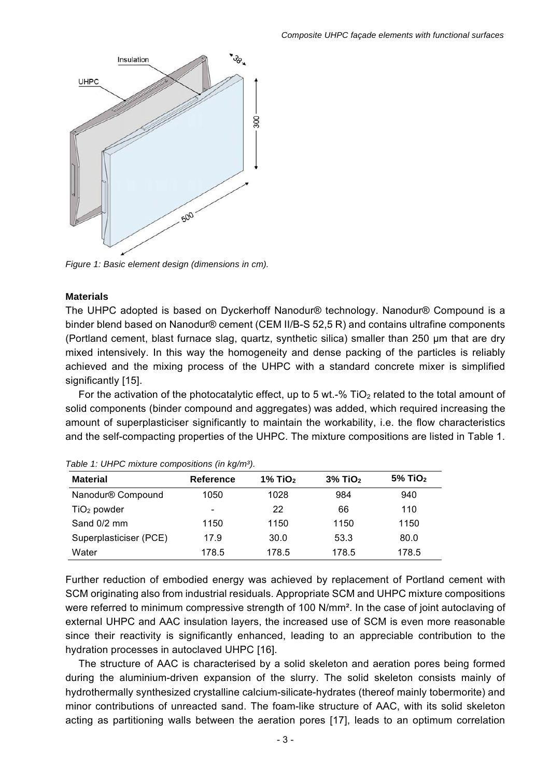

*Figure 1: Basic element design (dimensions in cm).* 

#### **Materials**

The UHPC adopted is based on Dyckerhoff Nanodur® technology. Nanodur® Compound is a binder blend based on Nanodur® cement (CEM II/B-S 52,5 R) and contains ultrafine components (Portland cement, blast furnace slag, quartz, synthetic silica) smaller than 250 μm that are dry mixed intensively. In this way the homogeneity and dense packing of the particles is reliably achieved and the mixing process of the UHPC with a standard concrete mixer is simplified significantly [15].

For the activation of the photocatalytic effect, up to 5 wt.-% TiO<sub>2</sub> related to the total amount of solid components (binder compound and aggregates) was added, which required increasing the amount of superplasticiser significantly to maintain the workability, i.e. the flow characteristics and the self-compacting properties of the UHPC. The mixture compositions are listed in Table 1.

| <b>Material</b>        | <b>Reference</b>         | $1\%$ TiO <sub>2</sub> | $3\%$ TiO <sub>2</sub> | $5\%$ TiO <sub>2</sub> |
|------------------------|--------------------------|------------------------|------------------------|------------------------|
| Nanodur® Compound      | 1050                     | 1028                   | 984                    | 940                    |
| $TiO2$ powder          | $\overline{\phantom{a}}$ | 22                     | 66                     | 110                    |
| Sand 0/2 mm            | 1150                     | 1150                   | 1150                   | 1150                   |
| Superplasticiser (PCE) | 17.9                     | 30.0                   | 53.3                   | 80.0                   |
| Water                  | 178.5                    | 178.5                  | 178.5                  | 178.5                  |

| Table 1: UHPC mixture compositions (in kg/m <sup>3</sup> ). |  |
|-------------------------------------------------------------|--|
|-------------------------------------------------------------|--|

Further reduction of embodied energy was achieved by replacement of Portland cement with SCM originating also from industrial residuals. Appropriate SCM and UHPC mixture compositions were referred to minimum compressive strength of 100 N/mm². In the case of joint autoclaving of external UHPC and AAC insulation layers, the increased use of SCM is even more reasonable since their reactivity is significantly enhanced, leading to an appreciable contribution to the hydration processes in autoclaved UHPC [16].

The structure of AAC is characterised by a solid skeleton and aeration pores being formed during the aluminium-driven expansion of the slurry. The solid skeleton consists mainly of hydrothermally synthesized crystalline calcium-silicate-hydrates (thereof mainly tobermorite) and minor contributions of unreacted sand. The foam-like structure of AAC, with its solid skeleton acting as partitioning walls between the aeration pores [17], leads to an optimum correlation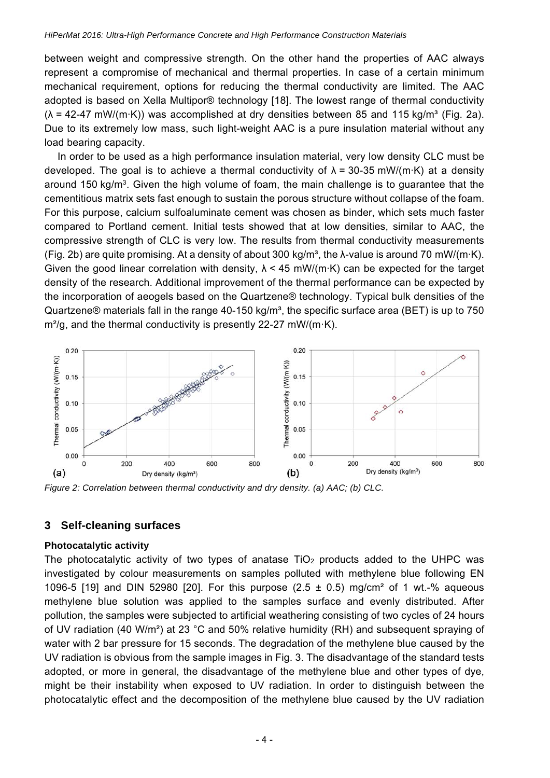between weight and compressive strength. On the other hand the properties of AAC always represent a compromise of mechanical and thermal properties. In case of a certain minimum mechanical requirement, options for reducing the thermal conductivity are limited. The AAC adopted is based on Xella Multipor® technology [18]. The lowest range of thermal conductivity  $(\lambda = 42-47 \text{ mW/(m·K)})$  was accomplished at dry densities between 85 and 115 kg/m<sup>3</sup> (Fig. 2a). Due to its extremely low mass, such light-weight AAC is a pure insulation material without any load bearing capacity.

In order to be used as a high performance insulation material, very low density CLC must be developed. The goal is to achieve a thermal conductivity of  $\lambda$  = 30-35 mW/(m·K) at a density around 150 kg/m<sup>3</sup>. Given the high volume of foam, the main challenge is to guarantee that the cementitious matrix sets fast enough to sustain the porous structure without collapse of the foam. For this purpose, calcium sulfoaluminate cement was chosen as binder, which sets much faster compared to Portland cement. Initial tests showed that at low densities, similar to AAC, the compressive strength of CLC is very low. The results from thermal conductivity measurements (Fig. 2b) are quite promising. At a density of about 300 kg/m<sup>3</sup>, the  $\lambda$ -value is around 70 mW/(m·K). Given the good linear correlation with density,  $\lambda$  < 45 mW/(m·K) can be expected for the target density of the research. Additional improvement of the thermal performance can be expected by the incorporation of aeogels based on the Quartzene® technology. Typical bulk densities of the Quartzene® materials fall in the range  $40-150 \text{ kg/m}^3$ , the specific surface area (BET) is up to 750  $m<sup>2</sup>/g$ , and the thermal conductivity is presently 22-27 mW/(m·K).



*Figure 2: Correlation between thermal conductivity and dry density. (a) AAC; (b) CLC.* 

## **3 Self-cleaning surfaces**

#### **Photocatalytic activity**

The photocatalytic activity of two types of anatase  $TiO<sub>2</sub>$  products added to the UHPC was investigated by colour measurements on samples polluted with methylene blue following EN 1096-5 [19] and DIN 52980 [20]. For this purpose (2.5  $\pm$  0.5) mg/cm<sup>2</sup> of 1 wt.-% aqueous methylene blue solution was applied to the samples surface and evenly distributed. After pollution, the samples were subjected to artificial weathering consisting of two cycles of 24 hours of UV radiation (40 W/m²) at 23 °C and 50% relative humidity (RH) and subsequent spraying of water with 2 bar pressure for 15 seconds. The degradation of the methylene blue caused by the UV radiation is obvious from the sample images in Fig. 3. The disadvantage of the standard tests adopted, or more in general, the disadvantage of the methylene blue and other types of dye, might be their instability when exposed to UV radiation. In order to distinguish between the photocatalytic effect and the decomposition of the methylene blue caused by the UV radiation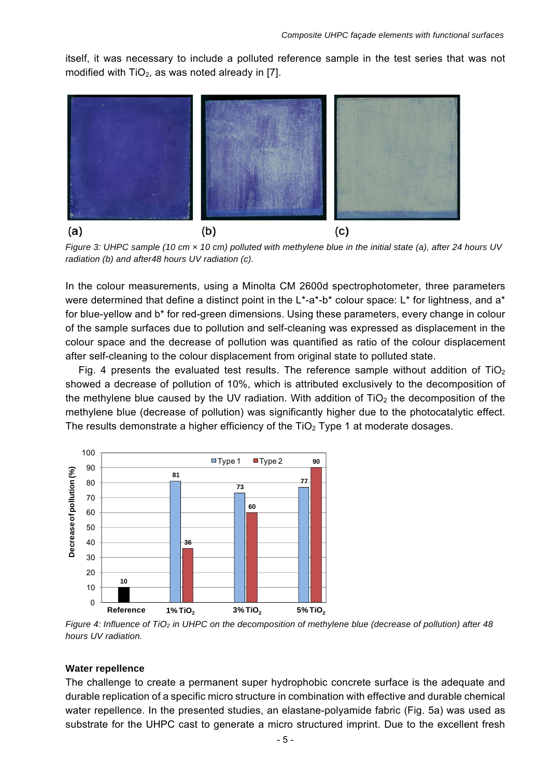itself, it was necessary to include a polluted reference sample in the test series that was not modified with  $TiO<sub>2</sub>$ , as was noted already in [7].



*Figure 3: UHPC sample (10 cm × 10 cm) polluted with methylene blue in the initial state (a), after 24 hours UV radiation (b) and after48 hours UV radiation (c).* 

In the colour measurements, using a Minolta CM 2600d spectrophotometer, three parameters were determined that define a distinct point in the L<sup>\*</sup>-a<sup>\*</sup>-b<sup>\*</sup> colour space: L<sup>\*</sup> for lightness, and a<sup>\*</sup> for blue-yellow and b\* for red-green dimensions. Using these parameters, every change in colour of the sample surfaces due to pollution and self-cleaning was expressed as displacement in the colour space and the decrease of pollution was quantified as ratio of the colour displacement after self-cleaning to the colour displacement from original state to polluted state.

Fig. 4 presents the evaluated test results. The reference sample without addition of  $TiO<sub>2</sub>$ showed a decrease of pollution of 10%, which is attributed exclusively to the decomposition of the methylene blue caused by the UV radiation. With addition of  $TiO<sub>2</sub>$  the decomposition of the methylene blue (decrease of pollution) was significantly higher due to the photocatalytic effect. The results demonstrate a higher efficiency of the  $TiO<sub>2</sub>$  Type 1 at moderate dosages.



Figure 4: Influence of TiO<sub>2</sub> in UHPC on the decomposition of methylene blue (decrease of pollution) after 48 *hours UV radiation.* 

#### **Water repellence**

The challenge to create a permanent super hydrophobic concrete surface is the adequate and durable replication of a specific micro structure in combination with effective and durable chemical water repellence. In the presented studies, an elastane-polyamide fabric (Fig. 5a) was used as substrate for the UHPC cast to generate a micro structured imprint. Due to the excellent fresh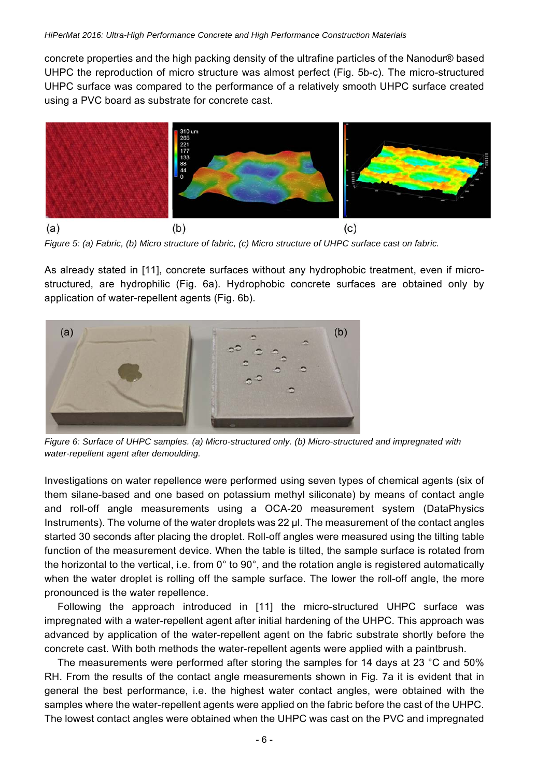concrete properties and the high packing density of the ultrafine particles of the Nanodur® based UHPC the reproduction of micro structure was almost perfect (Fig. 5b-c). The micro-structured UHPC surface was compared to the performance of a relatively smooth UHPC surface created using a PVC board as substrate for concrete cast.



*Figure 5: (a) Fabric, (b) Micro structure of fabric, (c) Micro structure of UHPC surface cast on fabric.* 

As already stated in [11], concrete surfaces without any hydrophobic treatment, even if microstructured, are hydrophilic (Fig. 6a). Hydrophobic concrete surfaces are obtained only by application of water-repellent agents (Fig. 6b).



*Figure 6: Surface of UHPC samples. (a) Micro-structured only. (b) Micro-structured and impregnated with water-repellent agent after demoulding.* 

Investigations on water repellence were performed using seven types of chemical agents (six of them silane-based and one based on potassium methyl siliconate) by means of contact angle and roll-off angle measurements using a OCA-20 measurement system (DataPhysics Instruments). The volume of the water droplets was 22 µl. The measurement of the contact angles started 30 seconds after placing the droplet. Roll-off angles were measured using the tilting table function of the measurement device. When the table is tilted, the sample surface is rotated from the horizontal to the vertical, i.e. from 0° to 90°, and the rotation angle is registered automatically when the water droplet is rolling off the sample surface. The lower the roll-off angle, the more pronounced is the water repellence.

Following the approach introduced in [11] the micro-structured UHPC surface was impregnated with a water-repellent agent after initial hardening of the UHPC. This approach was advanced by application of the water-repellent agent on the fabric substrate shortly before the concrete cast. With both methods the water-repellent agents were applied with a paintbrush.

The measurements were performed after storing the samples for 14 days at 23 °C and 50% RH. From the results of the contact angle measurements shown in Fig. 7a it is evident that in general the best performance, i.e. the highest water contact angles, were obtained with the samples where the water-repellent agents were applied on the fabric before the cast of the UHPC. The lowest contact angles were obtained when the UHPC was cast on the PVC and impregnated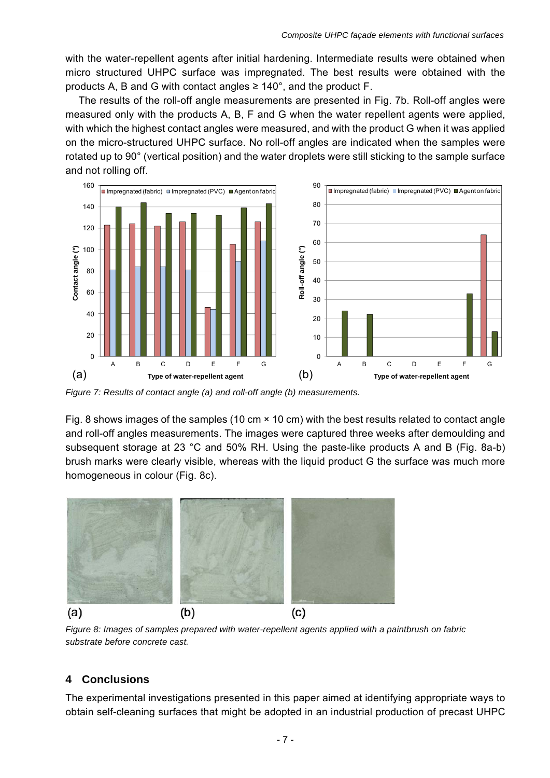with the water-repellent agents after initial hardening. Intermediate results were obtained when micro structured UHPC surface was impregnated. The best results were obtained with the products A, B and G with contact angles  $\geq 140^{\circ}$ , and the product F.

The results of the roll-off angle measurements are presented in Fig. 7b. Roll-off angles were measured only with the products A, B, F and G when the water repellent agents were applied, with which the highest contact angles were measured, and with the product G when it was applied on the micro-structured UHPC surface. No roll-off angles are indicated when the samples were rotated up to 90° (vertical position) and the water droplets were still sticking to the sample surface and not rolling off.



*Figure 7: Results of contact angle (a) and roll-off angle (b) measurements.* 

Fig. 8 shows images of the samples (10 cm × 10 cm) with the best results related to contact angle and roll-off angles measurements. The images were captured three weeks after demoulding and subsequent storage at 23 °C and 50% RH. Using the paste-like products A and B (Fig. 8a-b) brush marks were clearly visible, whereas with the liquid product G the surface was much more homogeneous in colour (Fig. 8c).



*Figure 8: Images of samples prepared with water-repellent agents applied with a paintbrush on fabric substrate before concrete cast.* 

## **4 Conclusions**

The experimental investigations presented in this paper aimed at identifying appropriate ways to obtain self-cleaning surfaces that might be adopted in an industrial production of precast UHPC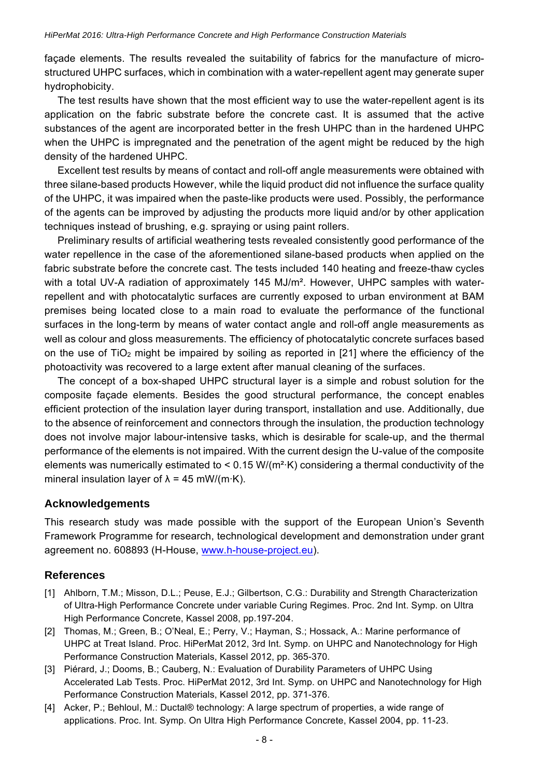façade elements. The results revealed the suitability of fabrics for the manufacture of microstructured UHPC surfaces, which in combination with a water-repellent agent may generate super hydrophobicity.

The test results have shown that the most efficient way to use the water-repellent agent is its application on the fabric substrate before the concrete cast. It is assumed that the active substances of the agent are incorporated better in the fresh UHPC than in the hardened UHPC when the UHPC is impregnated and the penetration of the agent might be reduced by the high density of the hardened UHPC.

Excellent test results by means of contact and roll-off angle measurements were obtained with three silane-based products However, while the liquid product did not influence the surface quality of the UHPC, it was impaired when the paste-like products were used. Possibly, the performance of the agents can be improved by adjusting the products more liquid and/or by other application techniques instead of brushing, e.g. spraying or using paint rollers.

Preliminary results of artificial weathering tests revealed consistently good performance of the water repellence in the case of the aforementioned silane-based products when applied on the fabric substrate before the concrete cast. The tests included 140 heating and freeze-thaw cycles with a total UV-A radiation of approximately 145 MJ/m<sup>2</sup>. However, UHPC samples with waterrepellent and with photocatalytic surfaces are currently exposed to urban environment at BAM premises being located close to a main road to evaluate the performance of the functional surfaces in the long-term by means of water contact angle and roll-off angle measurements as well as colour and gloss measurements. The efficiency of photocatalytic concrete surfaces based on the use of  $TiO<sub>2</sub>$  might be impaired by soiling as reported in [21] where the efficiency of the photoactivity was recovered to a large extent after manual cleaning of the surfaces.

The concept of a box-shaped UHPC structural layer is a simple and robust solution for the composite façade elements. Besides the good structural performance, the concept enables efficient protection of the insulation layer during transport, installation and use. Additionally, due to the absence of reinforcement and connectors through the insulation, the production technology does not involve major labour-intensive tasks, which is desirable for scale-up, and the thermal performance of the elements is not impaired. With the current design the U-value of the composite elements was numerically estimated to  $\leq$  0.15 W/(m<sup>2</sup>·K) considering a thermal conductivity of the mineral insulation layer of  $\lambda = 45$  mW/(m·K).

## **Acknowledgements**

This research study was made possible with the support of the European Union's Seventh Framework Programme for research, technological development and demonstration under grant agreement no. 608893 (H-House, www.h-house-project.eu).

## **References**

- [1] Ahlborn, T.M.; Misson, D.L.; Peuse, E.J.; Gilbertson, C.G.: Durability and Strength Characterization of Ultra-High Performance Concrete under variable Curing Regimes. Proc. 2nd Int. Symp. on Ultra High Performance Concrete, Kassel 2008, pp.197-204.
- [2] Thomas, M.; Green, B.; O'Neal, E.; Perry, V.; Hayman, S.; Hossack, A.: Marine performance of UHPC at Treat Island. Proc. HiPerMat 2012, 3rd Int. Symp. on UHPC and Nanotechnology for High Performance Construction Materials, Kassel 2012, pp. 365-370.
- [3] Piérard, J.; Dooms, B.; Cauberg, N.: Evaluation of Durability Parameters of UHPC Using Accelerated Lab Tests. Proc. HiPerMat 2012, 3rd Int. Symp. on UHPC and Nanotechnology for High Performance Construction Materials, Kassel 2012, pp. 371-376.
- [4] Acker, P.; Behloul, M.: Ductal® technology: A large spectrum of properties, a wide range of applications. Proc. Int. Symp. On Ultra High Performance Concrete, Kassel 2004, pp. 11-23.